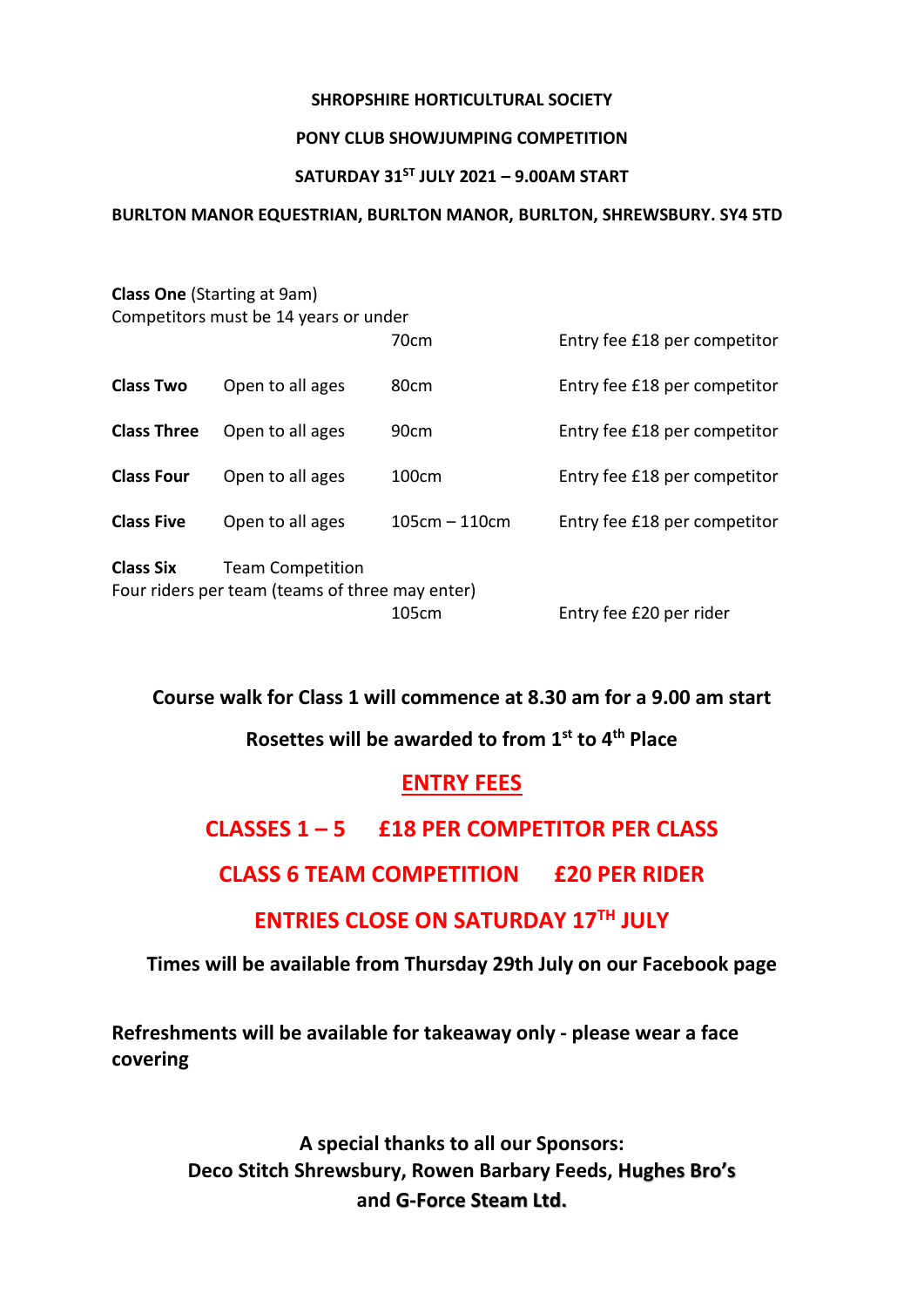#### **SHROPSHIRE HORTICULTURAL SOCIETY**

#### **PONY CLUB SHOWJUMPING COMPETITION**

#### **SATURDAY 31ST JULY 2021 – 9.00AM START**

## **BURLTON MANOR EQUESTRIAN, BURLTON MANOR, BURLTON, SHREWSBURY. SY4 5TD**

|                    | <b>Class One (Starting at 9am)</b>              |                 |                              |
|--------------------|-------------------------------------------------|-----------------|------------------------------|
|                    | Competitors must be 14 years or under           |                 |                              |
|                    |                                                 | 70cm            | Entry fee £18 per competitor |
| <b>Class Two</b>   | Open to all ages                                | 80cm            | Entry fee £18 per competitor |
| <b>Class Three</b> | Open to all ages                                | 90cm            | Entry fee £18 per competitor |
| <b>Class Four</b>  | Open to all ages                                | 100cm           | Entry fee £18 per competitor |
| <b>Class Five</b>  | Open to all ages                                | $105cm - 110cm$ | Entry fee £18 per competitor |
| <b>Class Six</b>   | <b>Team Competition</b>                         |                 |                              |
|                    | Four riders per team (teams of three may enter) |                 |                              |
|                    |                                                 | 105cm           | Entry fee £20 per rider      |

**Course walk for Class 1 will commence at 8.30 am for a 9.00 am start**

# **Rosettes will be awarded to from 1st to 4 th Place**

## **ENTRY FEES**

# **CLASSES 1 – 5 £18 PER COMPETITOR PER CLASS**

# **CLASS 6 TEAM COMPETITION £20 PER RIDER**

# **ENTRIES CLOSE ON SATURDAY 17TH JULY**

## **Times will be available from Thursday 29th July on our Facebook page**

**Refreshments will be available for takeaway only - please wear a face covering**

> **A special thanks to all our Sponsors: Deco Stitch Shrewsbury, Rowen Barbary Feeds, Hughes Bro's and G-Force Steam Ltd.**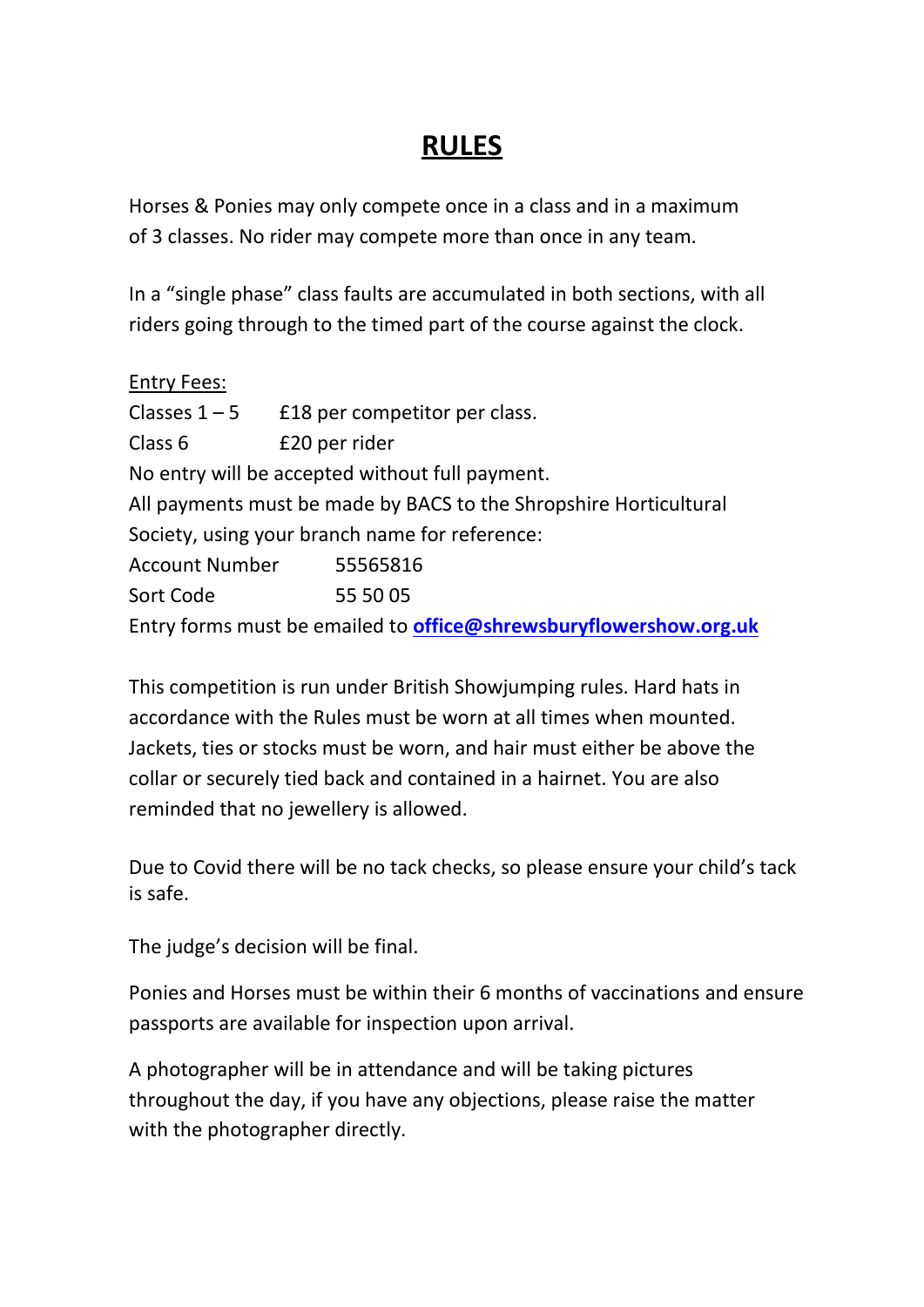# **RULES**

Horses & Ponies may only compete once in a class and in a maximum of 3 classes. No rider may compete more than once in any team.

In a "single phase" class faults are accumulated in both sections, with all riders going through to the timed part of the course against the clock.

| <b>Entry Fees:</b> |                                                                          |
|--------------------|--------------------------------------------------------------------------|
|                    | Classes $1-5$ $E18$ per competitor per class.                            |
| Class <sub>6</sub> | £20 per rider                                                            |
|                    | No entry will be accepted without full payment.                          |
|                    | All payments must be made by BACS to the Shropshire Horticultural        |
|                    | Society, using your branch name for reference:                           |
|                    | Account Number 55565816                                                  |
| Sort Code          | 55 50 05                                                                 |
|                    | Entry forms must be emailed to <b>office@shrewsburyflowershow.org.uk</b> |

This competition is run under British Showjumping rules. Hard hats in accordance with the Rules must be worn at all times when mounted. Jackets, ties or stocks must be worn, and hair must either be above the collar or securely tied back and contained in a hairnet. You are also reminded that no jewellery is allowed.

Due to Covid there will be no tack checks, so please ensure your child's tack is safe.

The judge's decision will be final.

Ponies and Horses must be within their 6 months of vaccinations and ensure passports are available for inspection upon arrival.

A photographer will be in attendance and will be taking pictures throughout the day, if you have any objections, please raise the matter with the photographer directly.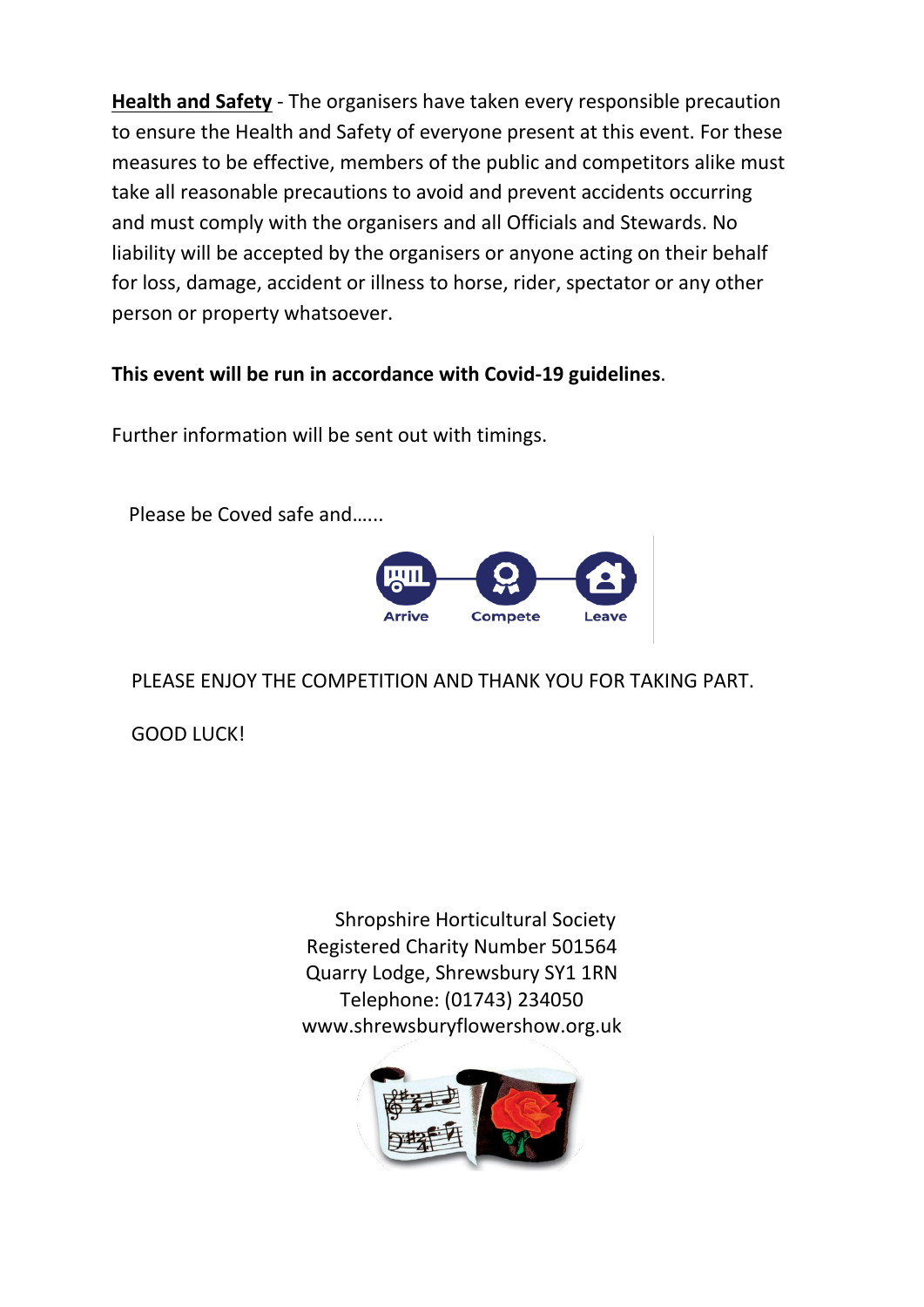**Health and Safety** - The organisers have taken every responsible precaution to ensure the Health and Safety of everyone present at this event. For these measures to be effective, members of the public and competitors alike must take all reasonable precautions to avoid and prevent accidents occurring and must comply with the organisers and all Officials and Stewards. No liability will be accepted by the organisers or anyone acting on their behalf for loss, damage, accident or illness to horse, rider, spectator or any other person or property whatsoever.

# **This event will be run in accordance with Covid-19 guidelines**.

Further information will be sent out with timings.

Please be Coved safe and…...



PLEASE ENJOY THE COMPETITION AND THANK YOU FOR TAKING PART.

GOOD LUCK!

Shropshire Horticultural Society Registered Charity Number 501564 Quarry Lodge, Shrewsbury SY1 1RN Telephone: (01743) 234050 www.shrewsburyflowershow.org.uk